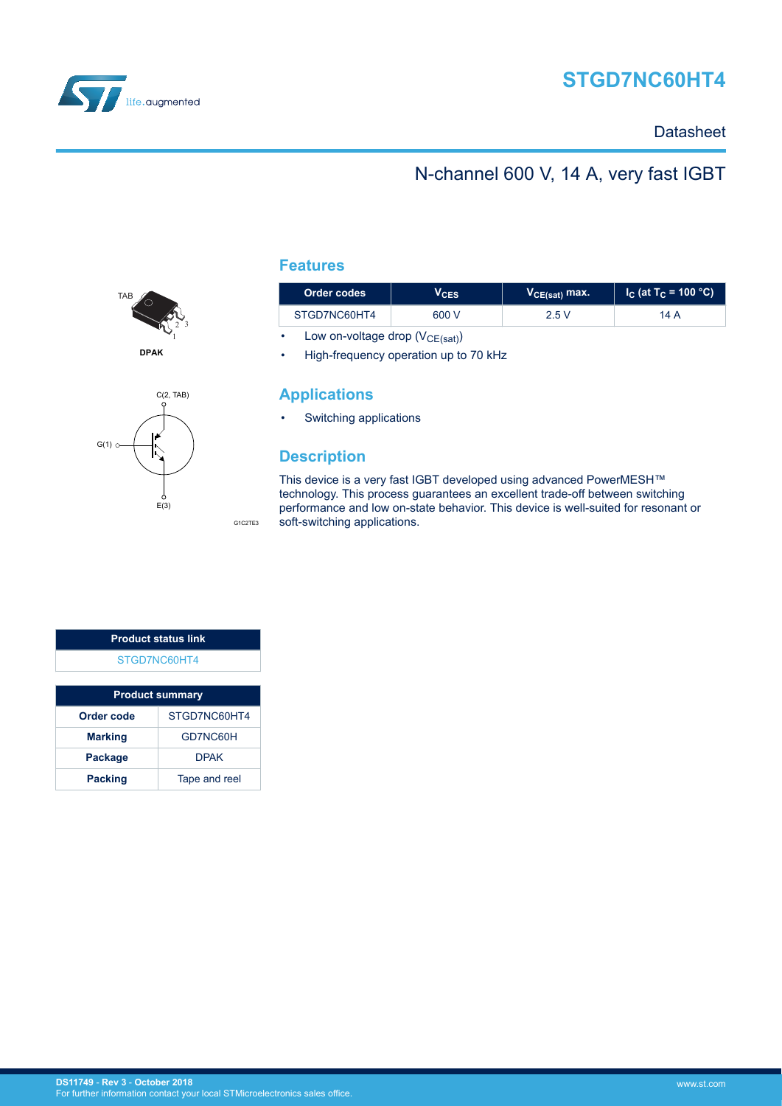

# **STGD7NC60HT4**

### **Datasheet**

### N-channel 600 V, 14 A, very fast IGBT



 $G(1)$ C(2, TAB)  $\begin{matrix}6 \end{matrix}$ E(3)

### **Features**

| Order codes  | VCES  | $V_{CE(sat)}$ max. | $\vert$ I <sub>C</sub> (at T <sub>C</sub> = 100 °C) I |  |
|--------------|-------|--------------------|-------------------------------------------------------|--|
| STGD7NC60HT4 | 600 V | 2.5 V              | 14 A                                                  |  |

• Low on-voltage drop  $(V_{CE(sat)})$ 

• High-frequency operation up to 70 kHz

### **Applications**

• Switching applications

### **Description**

G1C2TE3

This device is a very fast IGBT developed using advanced PowerMESH™ technology. This process guarantees an excellent trade-off between switching performance and low on-state behavior. This device is well-suited for resonant or soft-switching applications.

| <b>Product status link</b> |  |
|----------------------------|--|
| STGD7NC60HT4               |  |
|                            |  |

| <b>Product summary</b> |               |  |
|------------------------|---------------|--|
| Order code             | STGD7NC60HT4  |  |
| <b>Marking</b>         | GD7NC60H      |  |
| <b>Package</b>         | <b>DPAK</b>   |  |
| <b>Packing</b>         | Tape and reel |  |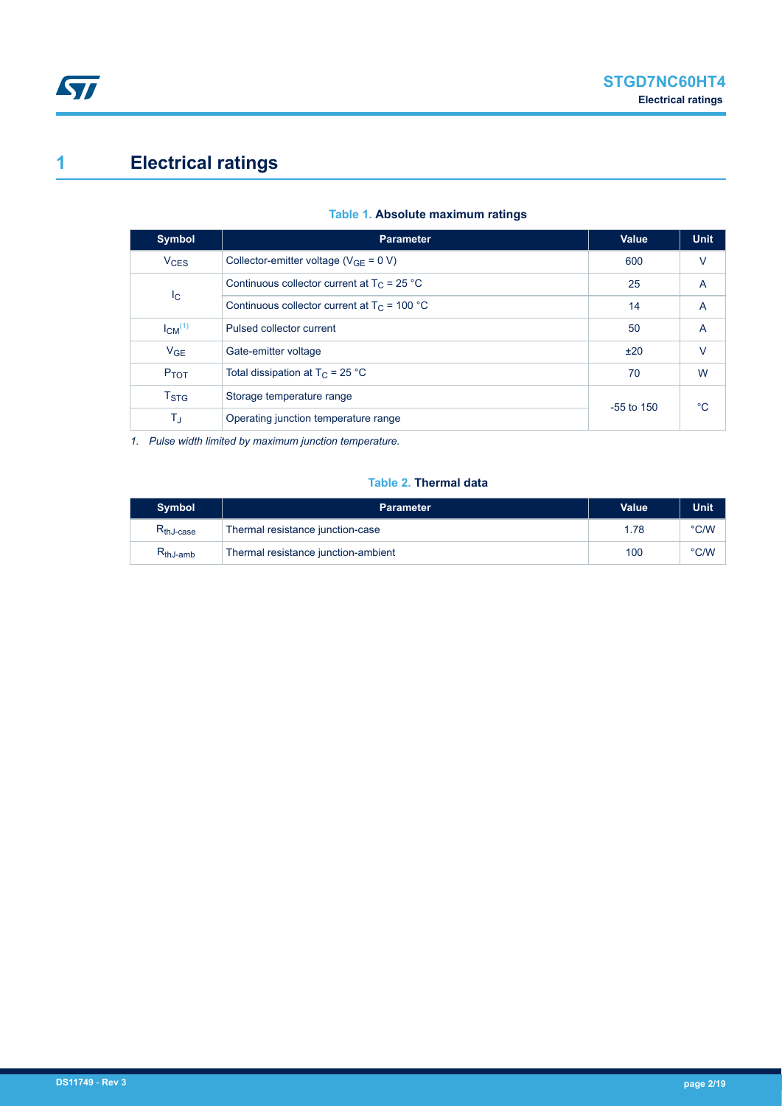## <span id="page-1-0"></span>**1 Electrical ratings**

| <b>Parameter</b>                                                | <b>Value</b> | <b>Unit</b>        |  |
|-----------------------------------------------------------------|--------------|--------------------|--|
| Collector-emitter voltage ( $V_{GF} = 0 V$ )                    | 600          | V                  |  |
| Continuous collector current at $T_C = 25 °C$<br>I <sub>C</sub> |              | A                  |  |
| Continuous collector current at $T_c$ = 100 °C                  | 14           | A                  |  |
| Pulsed collector current                                        | 50           | A                  |  |
| Gate-emitter voltage                                            | ±20          | $\vee$             |  |
| Total dissipation at $T_C = 25 °C$                              | 70           | W                  |  |
| Storage temperature range                                       |              | $^{\circ}C$        |  |
| T,<br>Operating junction temperature range                      |              |                    |  |
|                                                                 |              | 25<br>$-55$ to 150 |  |

#### **Table 1. Absolute maximum ratings**

*1. Pulse width limited by maximum junction temperature.*

### **Table 2. Thermal data**

| <b>Symbol</b>                           | <b>Parameter</b>                    | Value | Unit          |
|-----------------------------------------|-------------------------------------|-------|---------------|
| $\mathsf{R}_{\mathsf{thJ}\text{-case}}$ | Thermal resistance junction-case    | 1.78  | $\degree$ C/W |
| $R_{thJ-amb}$                           | Thermal resistance junction-ambient | 100   | °C/W          |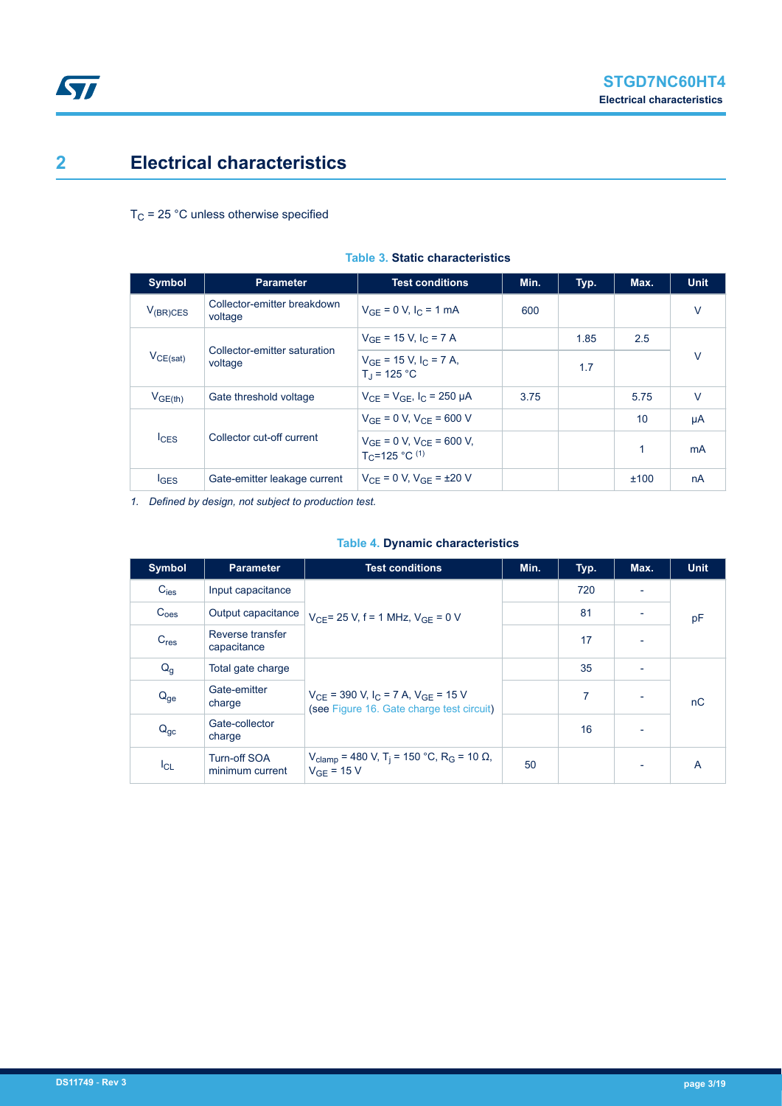### <span id="page-2-0"></span>**2 Electrical characteristics**

 $T_C$  = 25 °C unless otherwise specified

| <b>Symbol</b>    | <b>Parameter</b>                        | <b>Test conditions</b>                                              | Min. | Typ. | Max. | <b>Unit</b> |
|------------------|-----------------------------------------|---------------------------------------------------------------------|------|------|------|-------------|
| $V_{(BR)CES}$    | Collector-emitter breakdown<br>voltage  | $V_{GF} = 0 V, I_C = 1 mA$                                          | 600  |      |      | $\vee$      |
|                  |                                         | $V_{GF}$ = 15 V, I <sub>C</sub> = 7 A                               |      | 1.85 | 2.5  |             |
| $V_{CE(sat)}$    | Collector-emitter saturation<br>voltage | $V_{GE}$ = 15 V, I <sub>C</sub> = 7 A,<br>$T_1 = 125 °C$            |      | 1.7  |      | $\vee$      |
| $V_{GE(th)}$     | Gate threshold voltage                  | $V_{CF} = V_{GF}$ , $I_C = 250 \mu A$                               | 3.75 |      | 5.75 | $\vee$      |
|                  |                                         | $V_{GF} = 0 V, V_{CF} = 600 V$                                      |      |      | 10   | μA          |
| $I_{CES}$        | Collector cut-off current               | $V_{GF} = 0 V$ , $V_{CF} = 600 V$ ,<br>T <sub>C</sub> =125 °C $(1)$ |      |      | 1    | mA          |
| $I_{\text{GES}}$ | Gate-emitter leakage current            | $V_{CF} = 0 V, V_{GF} = \pm 20 V$                                   |      |      | ±100 | nA          |

#### **Table 3. Static characteristics**

*1. Defined by design, not subject to production test.*

#### **Table 4. Dynamic characteristics**

| <b>Symbol</b>    | <b>Parameter</b>                       | <b>Test conditions</b>                                                                               | Min. | Typ. | Max.                     | <b>Unit</b> |
|------------------|----------------------------------------|------------------------------------------------------------------------------------------------------|------|------|--------------------------|-------------|
| $C_{\text{ies}}$ | Input capacitance                      |                                                                                                      |      | 720  |                          |             |
| C <sub>oes</sub> | Output capacitance                     | $V_{CF}$ = 25 V, f = 1 MHz, $V_{GF}$ = 0 V                                                           |      | 81   |                          | pF          |
| $C_{res}$        | Reverse transfer<br>capacitance        |                                                                                                      |      | 17   |                          |             |
| $Q_g$            | Total gate charge                      |                                                                                                      |      | 35   | $\overline{\phantom{0}}$ |             |
| $Q_{ge}$         | Gate-emitter<br>charge                 | $V_{CF}$ = 390 V, I <sub>C</sub> = 7 A, $V_{GF}$ = 15 V<br>(see Figure 16. Gate charge test circuit) |      | 7    |                          | nC          |
| $Q_{gc}$         | Gate-collector<br>charge               |                                                                                                      |      | 16   |                          |             |
| $I_{CL}$         | <b>Turn-off SOA</b><br>minimum current | $V_{\text{clamp}}$ = 480 V, T <sub>i</sub> = 150 °C, R <sub>G</sub> = 10 Ω,<br>$V_{GF}$ = 15 V       | 50   |      |                          | A           |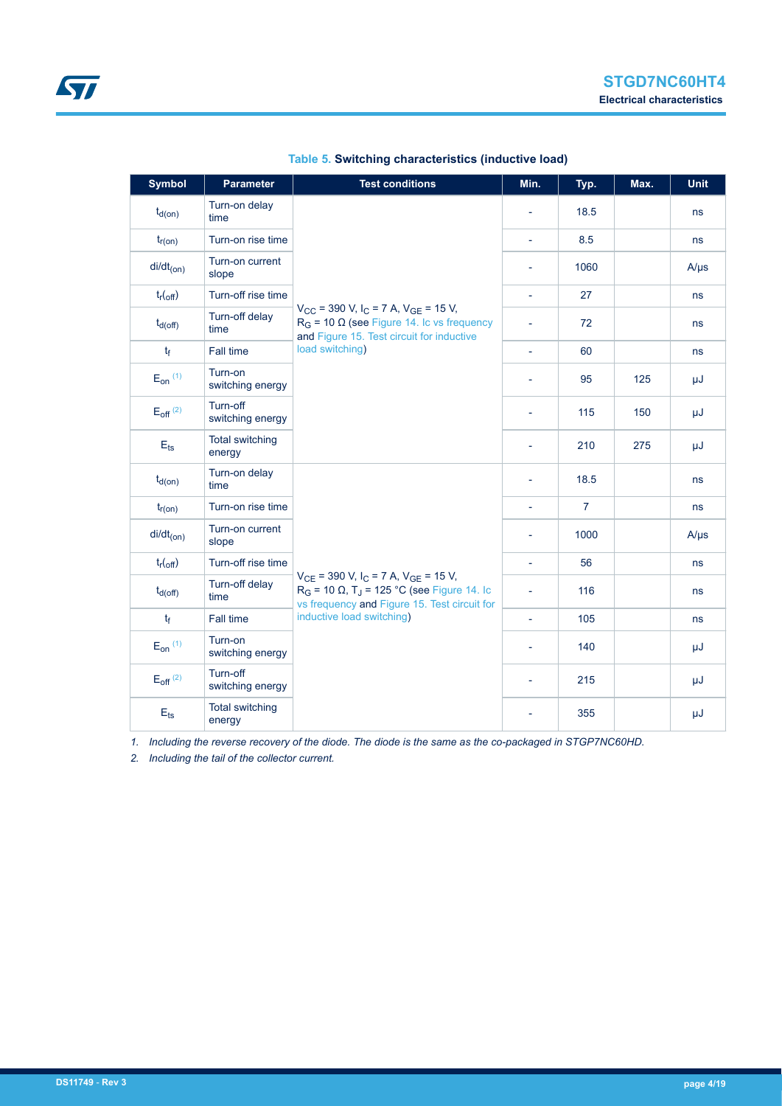| <b>Symbol</b>                   | <b>Parameter</b>                 | <b>Test conditions</b>                                                                                                                                                                                           | Min.                     | Typ.           | Max. | Unit      |
|---------------------------------|----------------------------------|------------------------------------------------------------------------------------------------------------------------------------------------------------------------------------------------------------------|--------------------------|----------------|------|-----------|
| $t_{d(on)}$                     | Turn-on delay<br>time            |                                                                                                                                                                                                                  |                          | 18.5           |      | ns        |
| $t_{r(on)}$                     | Turn-on rise time                |                                                                                                                                                                                                                  | $\omega$                 | 8.5            |      | ns        |
| $di/dt_{(on)}$                  | Turn-on current<br>slope         |                                                                                                                                                                                                                  | $\overline{\phantom{a}}$ | 1060           |      | $A/\mu s$ |
| $t_{r(\text{off})}$             | Turn-off rise time               |                                                                                                                                                                                                                  | $\overline{\phantom{a}}$ | 27             |      | ns        |
| $t_{d(off)}$                    | Turn-off delay<br>time           | $V_{\text{CC}}$ = 390 V, I <sub>C</sub> = 7 A, V <sub>GE</sub> = 15 V,<br>$R_G$ = 10 $\Omega$ (see Figure 14. Ic vs frequency<br>and Figure 15. Test circuit for inductive                                       | L,                       | 72             |      | ns        |
| $t_{f}$                         | <b>Fall time</b>                 | load switching)                                                                                                                                                                                                  | $\overline{\phantom{a}}$ | 60             |      | ns        |
| $E_{on}$ (1)                    | Turn-on<br>switching energy      |                                                                                                                                                                                                                  |                          | 95             | 125  | μJ        |
| $E_{\text{off}}$ <sup>(2)</sup> | Turn-off<br>switching energy     |                                                                                                                                                                                                                  | $\overline{\phantom{0}}$ | 115            | 150  | μJ        |
| $E_{ts}$                        | <b>Total switching</b><br>energy |                                                                                                                                                                                                                  |                          | 210            | 275  | μJ        |
| $t_{d(on)}$                     | Turn-on delay<br>time            |                                                                                                                                                                                                                  | $\overline{a}$           | 18.5           |      | ns        |
| $t_{r(on)}$                     | Turn-on rise time                |                                                                                                                                                                                                                  | $\overline{\phantom{a}}$ | $\overline{7}$ |      | ns        |
| $di/dt_{(on)}$                  | Turn-on current<br>slope         |                                                                                                                                                                                                                  |                          | 1000           |      | $A/\mu s$ |
| $t_{r(\text{off})}$             | Turn-off rise time               |                                                                                                                                                                                                                  | $\overline{\phantom{a}}$ | 56             |      | ns        |
| $t_{d(Off)}$                    | Turn-off delay<br>time           | $V_{CE}$ = 390 V, I <sub>C</sub> = 7 A, V <sub>GE</sub> = 15 V,<br>$R_G$ = 10 $\Omega$ , T <sub>J</sub> = 125 °C (see Figure 14. Ic<br>vs frequency and Figure 15. Test circuit for<br>inductive load switching) | ÷,                       | 116            |      | ns        |
| $t_f$                           | Fall time                        |                                                                                                                                                                                                                  | $\overline{\phantom{a}}$ | 105            |      | ns        |
| $E_{on}$ $(1)$                  | Turn-on<br>switching energy      |                                                                                                                                                                                                                  |                          | 140            |      | μJ        |
| $E_{off}$ <sup>(2)</sup>        | Turn-off<br>switching energy     |                                                                                                                                                                                                                  |                          | 215            |      | μJ        |
| $E$ <sub>ts</sub>               | <b>Total switching</b><br>energy |                                                                                                                                                                                                                  |                          | 355            |      | μJ        |

#### **Table 5. Switching characteristics (inductive load)**

*1. Including the reverse recovery of the diode. The diode is the same as the co-packaged in STGP7NC60HD.*

*2. Including the tail of the collector current.*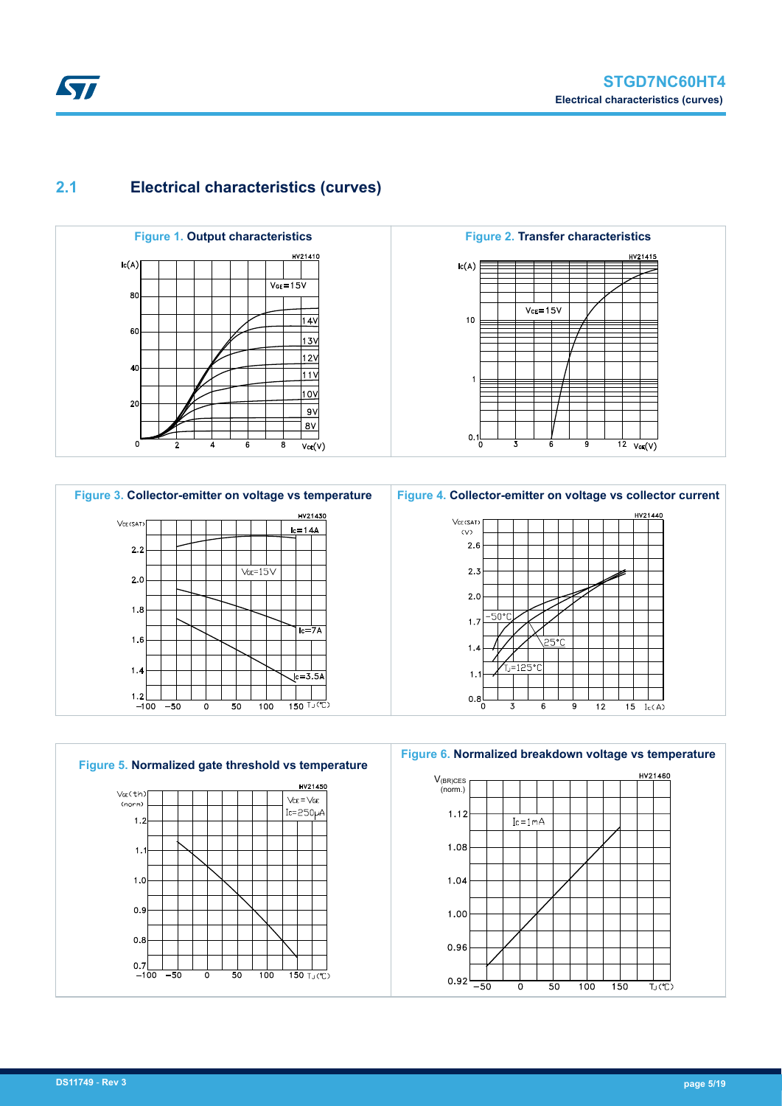# <span id="page-4-0"></span>**Kyr**

### **2.1 Electrical characteristics (curves)**









**Figure 6. Normalized breakdown voltage vs temperature**

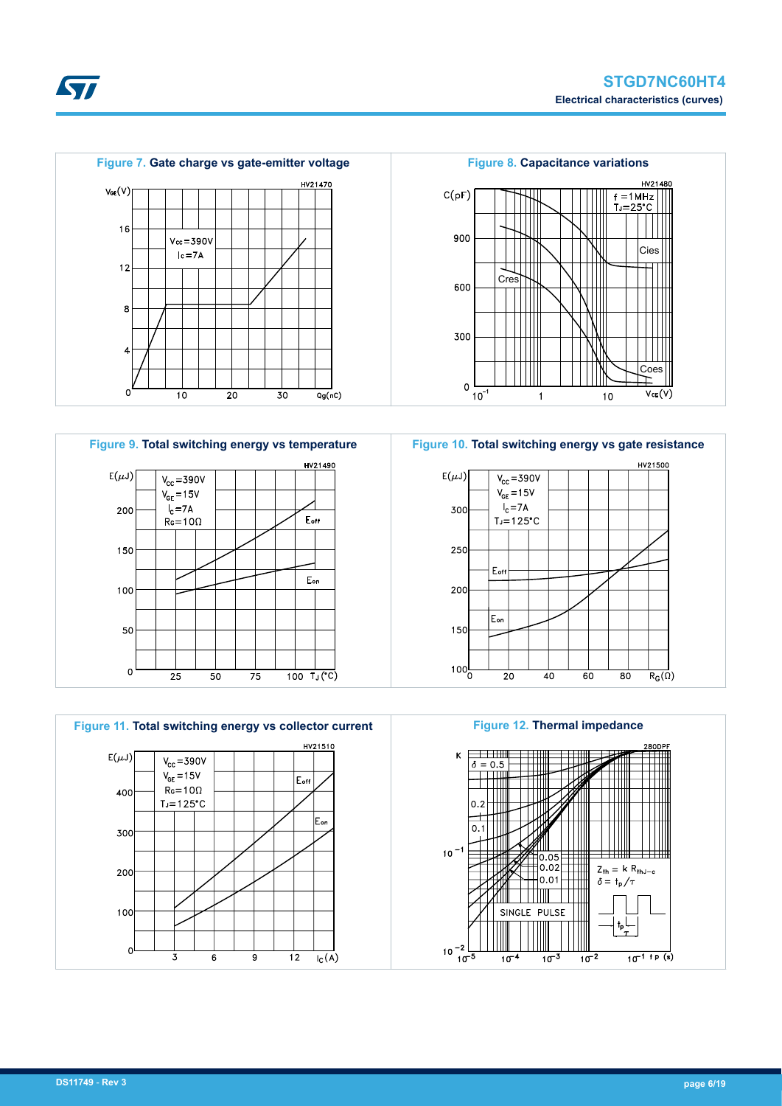

**Kyr** 









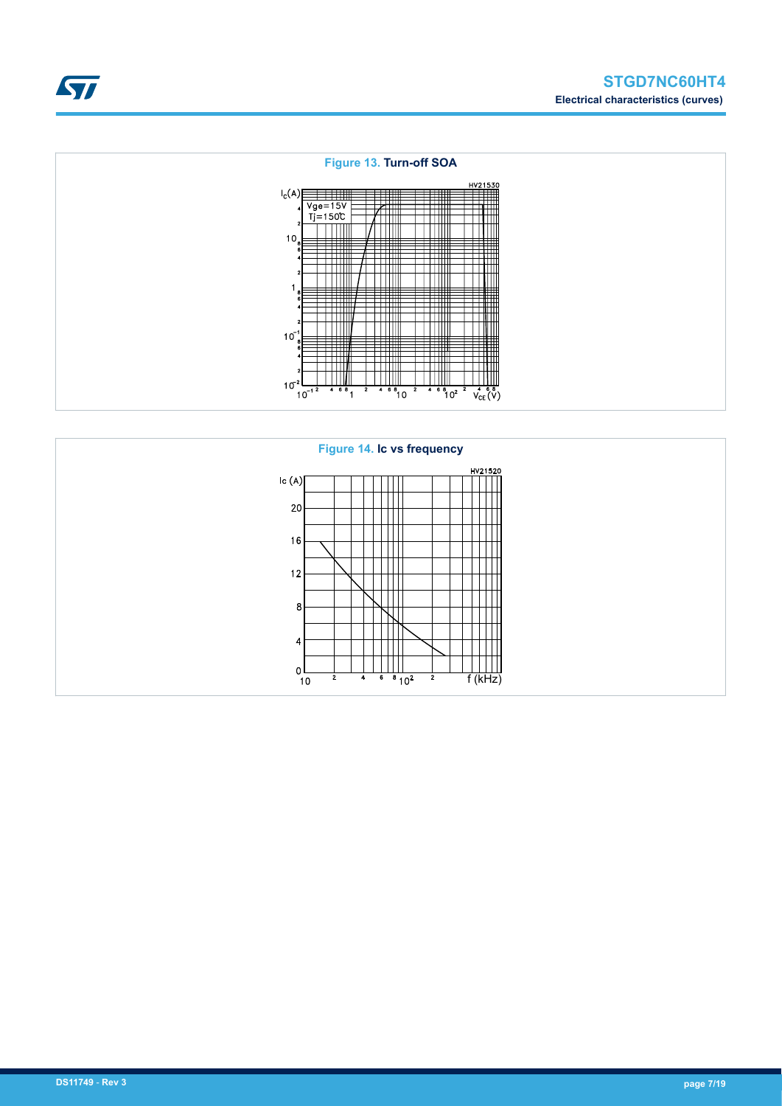<span id="page-6-0"></span>

#### **Figure 13. Turn-off SOA**  $I_c(A)$ <br>  $\begin{array}{c} Vg = 15V \\ -150C \\ 11 = 150C \end{array}$  $\begin{array}{c} \hline \end{array}$ ⊣  $\frac{1}{2}$  $10$ I W  $\begin{array}{c|c|c|c|c} \hline \text{1} & \text{1} & \text{1} & \text{1} & \text{1} \\ \hline \text{2} & \text{4} & \text{6} & \text{1} & \text{1} & \text{1} \\ \hline \end{array}$  $10<sup>7</sup>$  $\begin{matrix} \sqrt{\frac{1}{2} \cdot \frac{1}{2} \cdot \frac{1}{2} \cdot \frac{1}{2} \cdot \frac{1}{2} \cdot \frac{1}{2} \cdot \frac{1}{2} \cdot \frac{1}{2} \cdot \frac{1}{2} \cdot \frac{1}{2} \cdot \frac{1}{2} \cdot \frac{1}{2} \cdot \frac{1}{2} \cdot \frac{1}{2} \cdot \frac{1}{2} \cdot \frac{1}{2} \cdot \frac{1}{2} \cdot \frac{1}{2} \cdot \frac{1}{2} \cdot \frac{1}{2} \cdot \frac{1}{2} \cdot \frac{1}{2} \cdot \frac{1}{2} \cdot \frac{1}{2$  $\frac{1}{2}$   $4.6\frac{8}{10^2}$  $10^{-2}$  $10^{-1}$

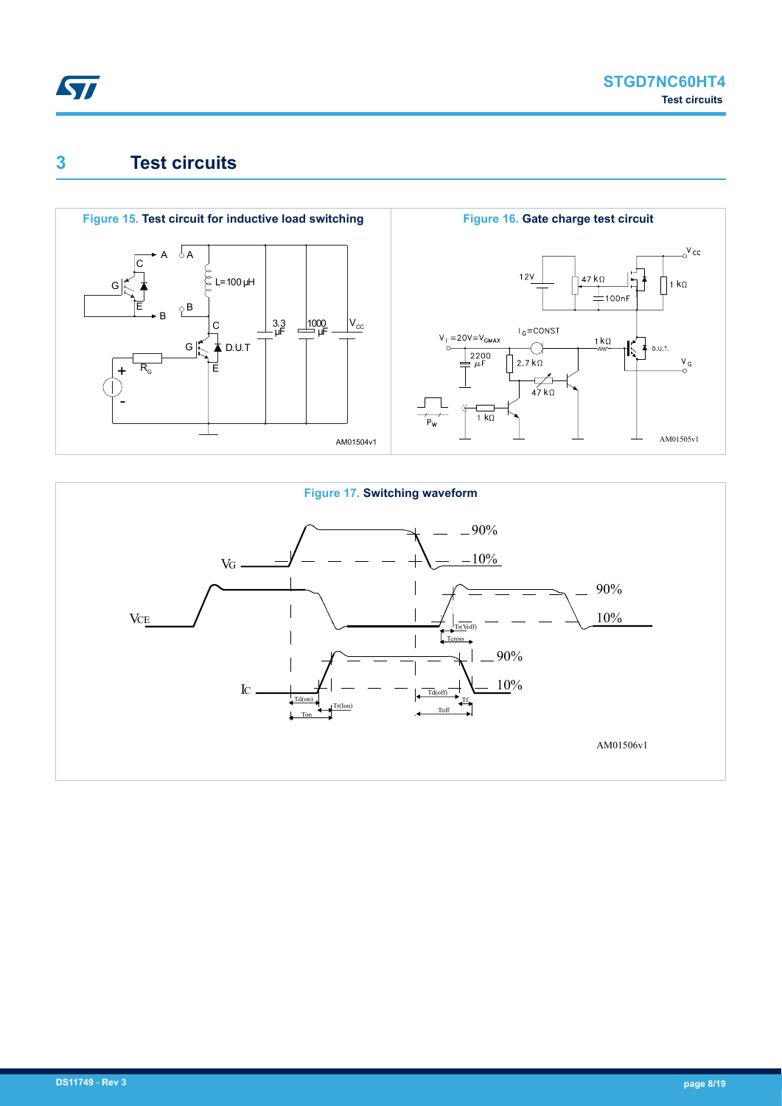<span id="page-7-0"></span>

### **3 Test circuits**



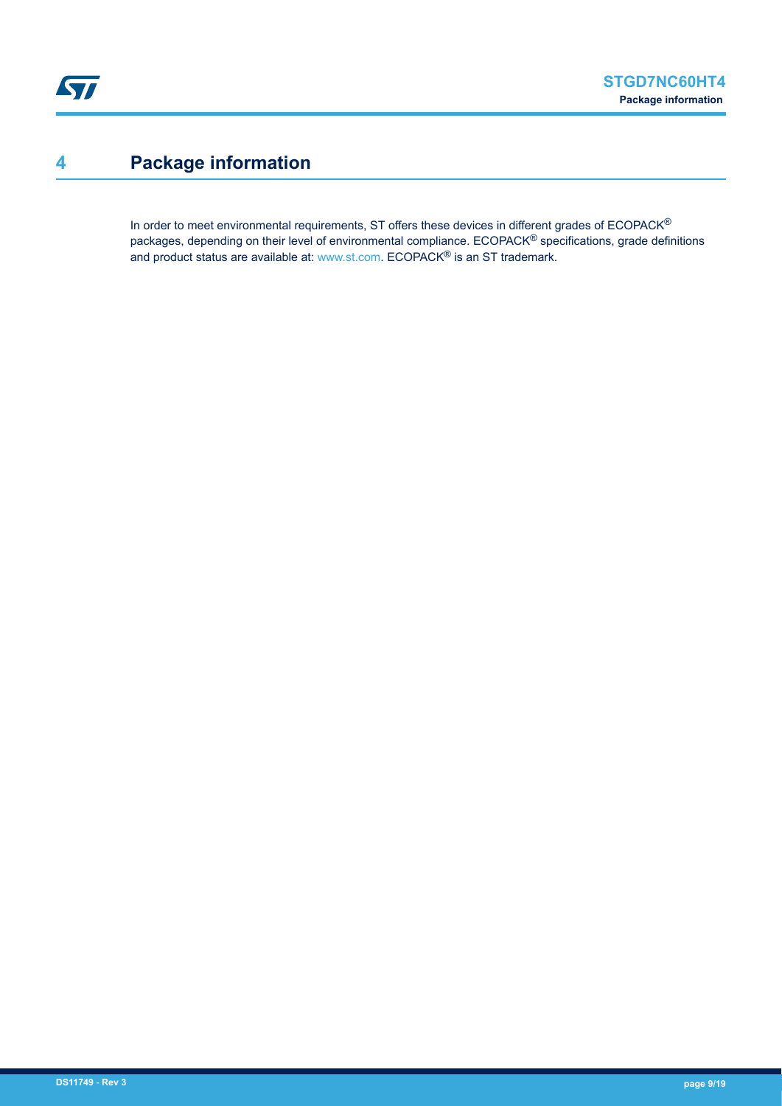### <span id="page-8-0"></span>**4 Package information**

In order to meet environmental requirements, ST offers these devices in different grades of ECOPACK® packages, depending on their level of environmental compliance. ECOPACK® specifications, grade definitions and product status are available at: [www.st.com.](http://www.st.com) ECOPACK® is an ST trademark.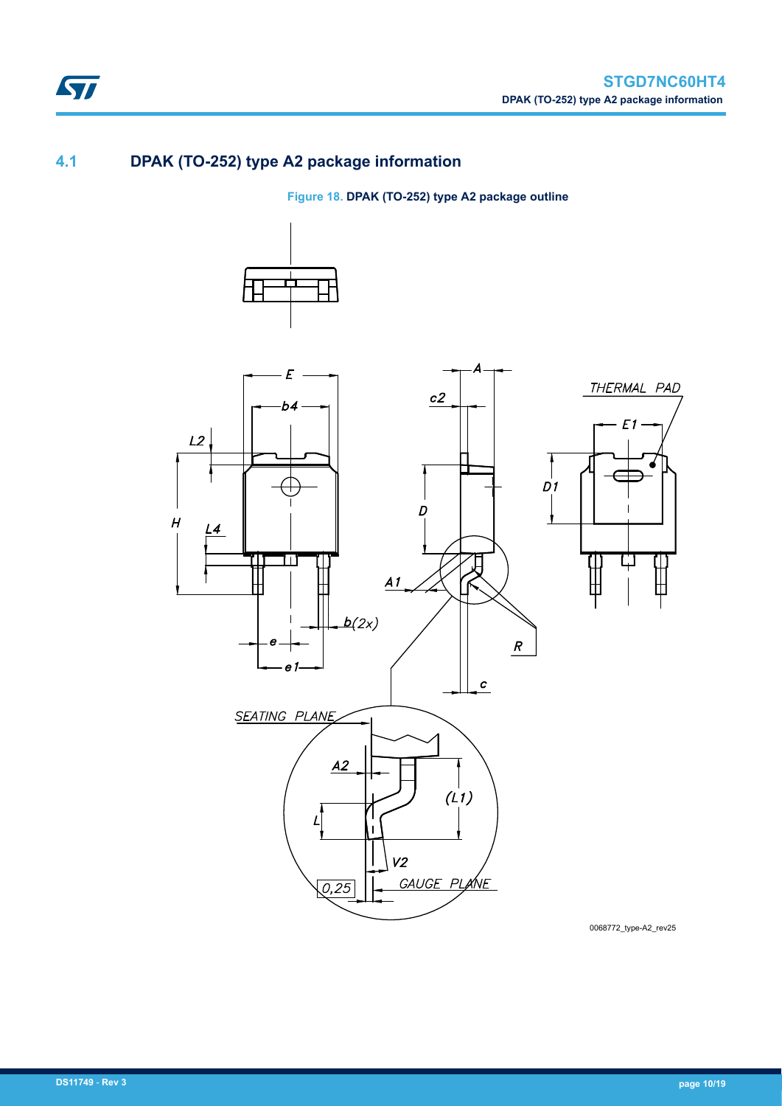### **4.1 DPAK (TO-252) type A2 package information**

ST

**Figure 18. DPAK (TO-252) type A2 package outline**





0068772\_type-A2\_rev25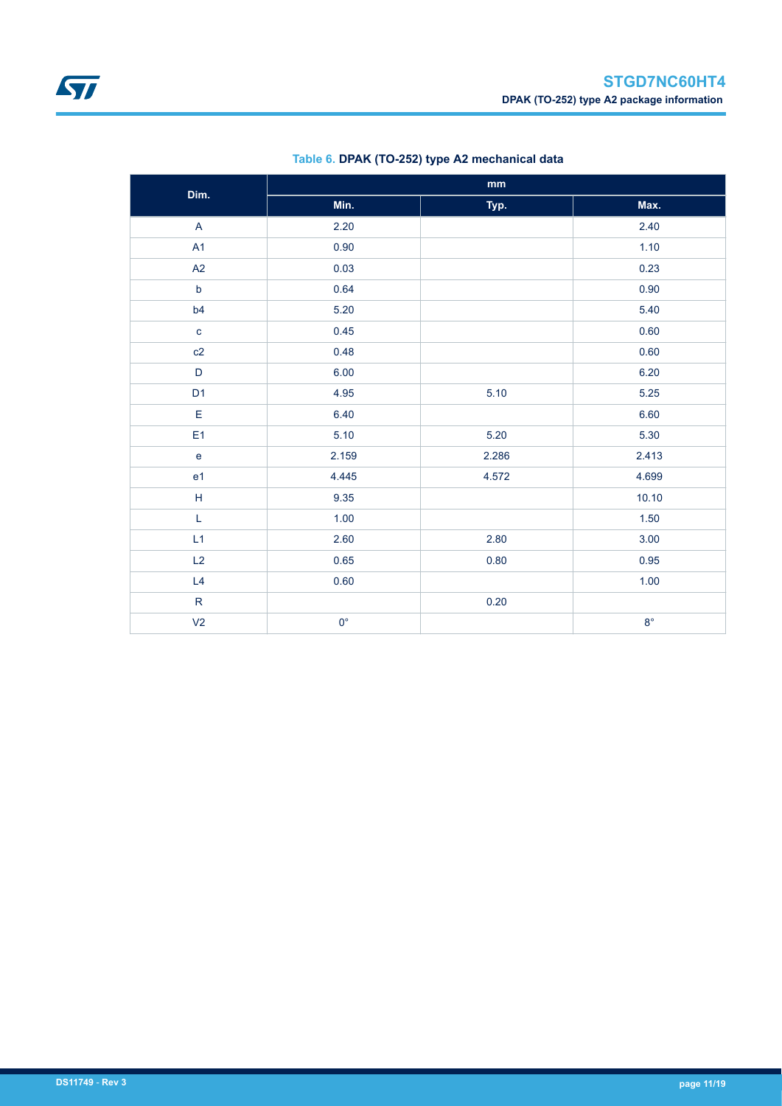<span id="page-10-0"></span>

| Dim.           | $\mathop{\text{mm}}\nolimits$ |       |             |  |  |  |
|----------------|-------------------------------|-------|-------------|--|--|--|
|                | Min.                          | Typ.  | Max.        |  |  |  |
| $\overline{A}$ | 2.20                          |       | 2.40        |  |  |  |
| A1             | 0.90                          |       | 1.10        |  |  |  |
| A2             | 0.03                          |       | 0.23        |  |  |  |
| $\mathsf b$    | 0.64                          |       | 0.90        |  |  |  |
| b4             | 5.20                          |       | 5.40        |  |  |  |
| $\mathbf{C}$   | 0.45                          |       | 0.60        |  |  |  |
| c2             | 0.48                          |       |             |  |  |  |
| $\mathsf D$    | 6.00                          |       | 6.20        |  |  |  |
| D <sub>1</sub> | 4.95                          | 5.10  | 5.25        |  |  |  |
| E              | 6.40                          |       | 6.60        |  |  |  |
| E <sub>1</sub> | 5.10                          | 5.20  | 5.30        |  |  |  |
| $\mathsf{e}$   | 2.286<br>2.159                |       | 2.413       |  |  |  |
| e <sub>1</sub> | 4.445                         | 4.572 | 4.699       |  |  |  |
| $\sf H$        | 9.35                          |       | 10.10       |  |  |  |
| L              | 1.00                          |       | 1.50        |  |  |  |
| L1             | 2.80<br>2.60                  |       | 3.00        |  |  |  |
| L2             | 0.65                          | 0.80  | 0.95        |  |  |  |
| L4             | 0.60                          |       | 1.00        |  |  |  |
| $\mathsf{R}$   |                               | 0.20  |             |  |  |  |
| V <sub>2</sub> | $0^{\circ}$                   |       | $8^{\circ}$ |  |  |  |

#### **Table 6. DPAK (TO-252) type A2 mechanical data**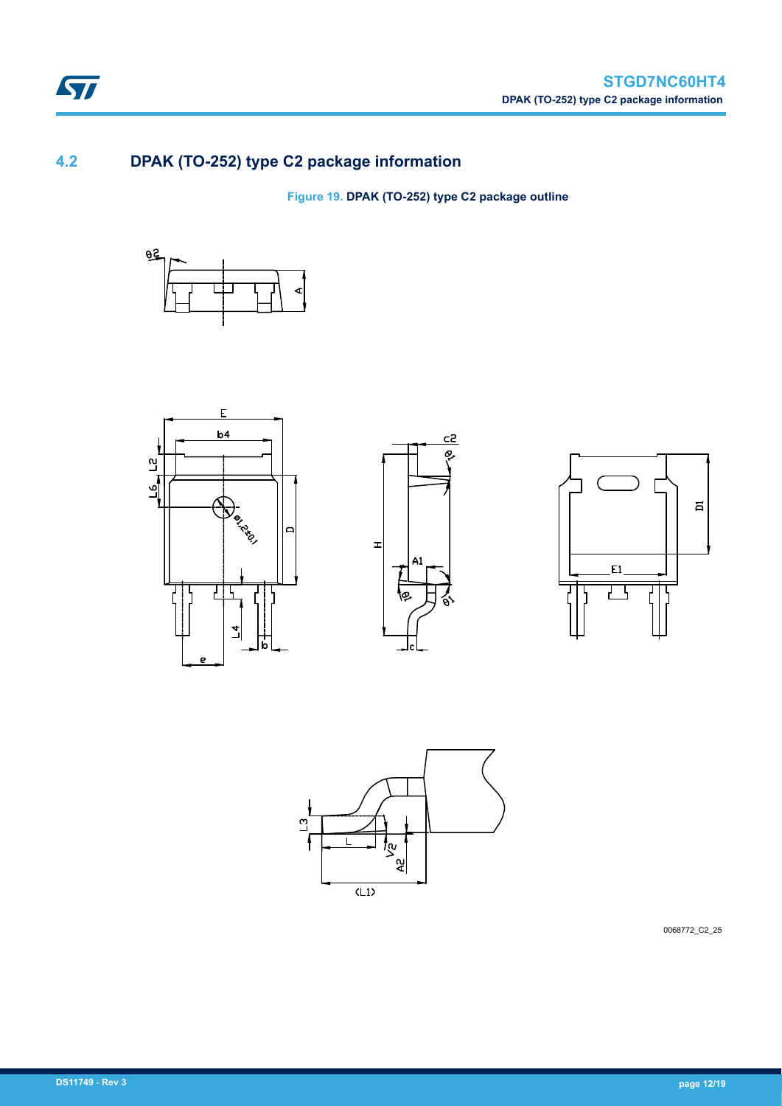

### **4.2 DPAK (TO-252) type C2 package information**

**Figure 19. DPAK (TO-252) type C2 package outline**











0068772\_C2\_25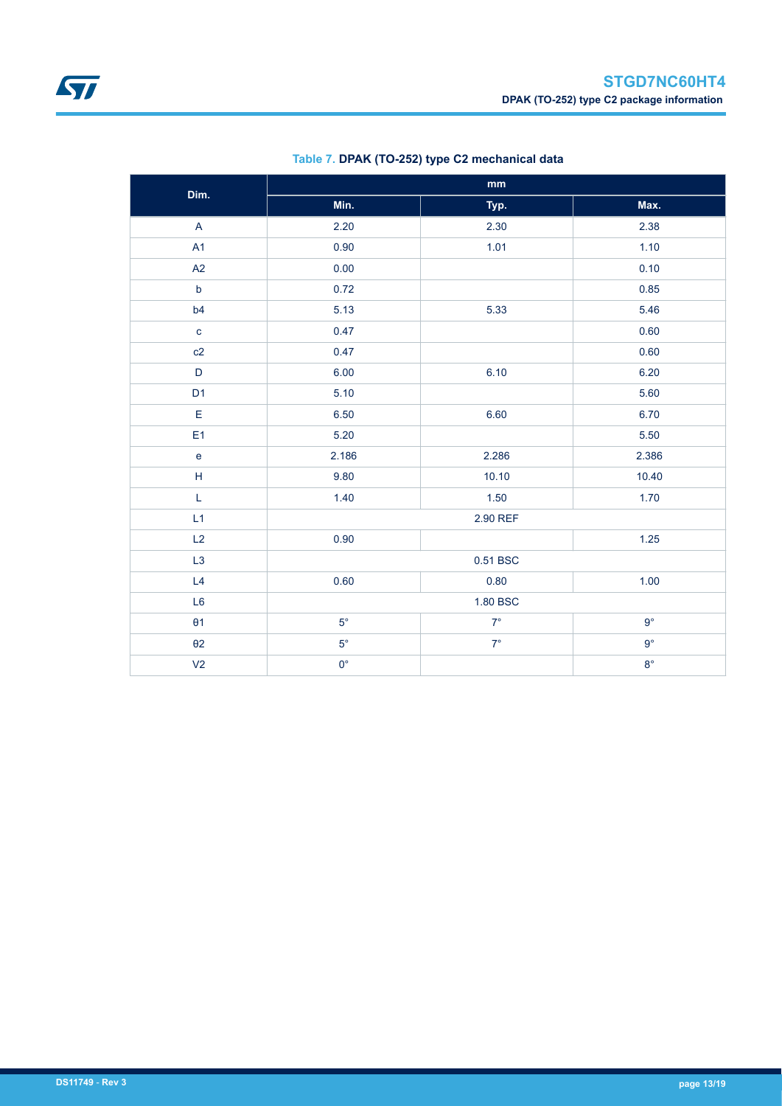| Dim.                                                        |             | $\mathop{\mathsf{mm}}\nolimits$ |             |
|-------------------------------------------------------------|-------------|---------------------------------|-------------|
|                                                             | Min.        | Typ.                            | Max.        |
| $\overline{\mathsf{A}}$                                     | 2.20        | 2.30                            | 2.38        |
| A1                                                          | 0.90        | 1.01                            | 1.10        |
| A2                                                          | 0.00        |                                 | 0.10        |
| $\mathsf b$                                                 | 0.72        |                                 | 0.85        |
| b4                                                          | 5.13        | 5.33                            | 5.46        |
| $\mathbf{C}$                                                | 0.47        |                                 | 0.60        |
| c2                                                          | 0.47        |                                 | 0.60        |
| $\mathsf D$                                                 | 6.00        | 6.10                            | 6.20        |
| D <sub>1</sub>                                              | 5.10        |                                 | 5.60        |
| E                                                           | 6.50        | 6.60                            | 6.70        |
| E <sub>1</sub>                                              | 5.20        |                                 | 5.50        |
| e                                                           | 2.186       | 2.286                           | 2.386       |
| $\mathsf{H}% _{\mathbb{R}}^{1}\left( \mathbb{R}^{2}\right)$ | 9.80        | 10.10                           | 10.40       |
| L                                                           | 1.40        | 1.50                            | 1.70        |
| L1                                                          |             | 2.90 REF                        |             |
| L2                                                          | 0.90        |                                 | $1.25$      |
| L <sub>3</sub>                                              |             | 0.51 BSC                        |             |
| L4                                                          | 0.60        | 0.80                            | 1.00        |
| L <sub>6</sub>                                              | 1.80 BSC    |                                 |             |
| $\theta$ 1                                                  | $5^{\circ}$ | $7^\circ$                       | $9^{\circ}$ |
| $\theta$ 2                                                  | $5^{\circ}$ | $7^\circ$                       | $9^{\circ}$ |
| V <sub>2</sub>                                              | $0^{\circ}$ |                                 | $8^{\circ}$ |

#### **Table 7. DPAK (TO-252) type C2 mechanical data**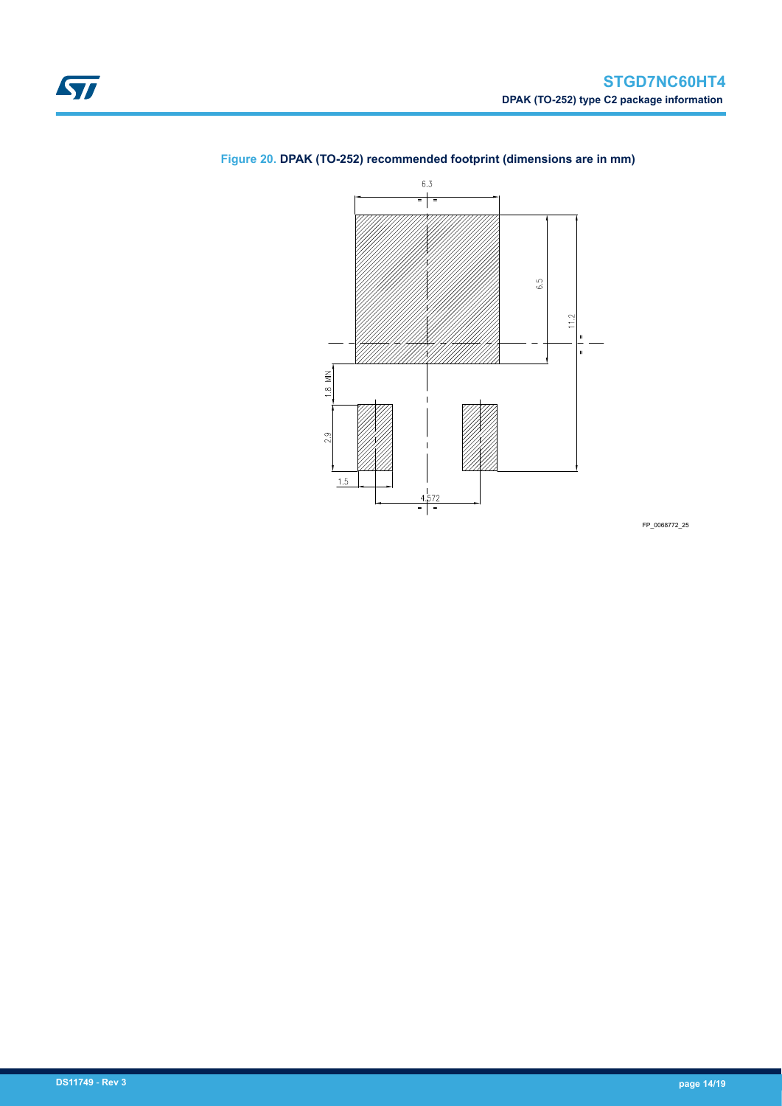

### <span id="page-13-0"></span>**Figure 20. DPAK (TO-252) recommended footprint (dimensions are in mm)**

FP\_0068772\_25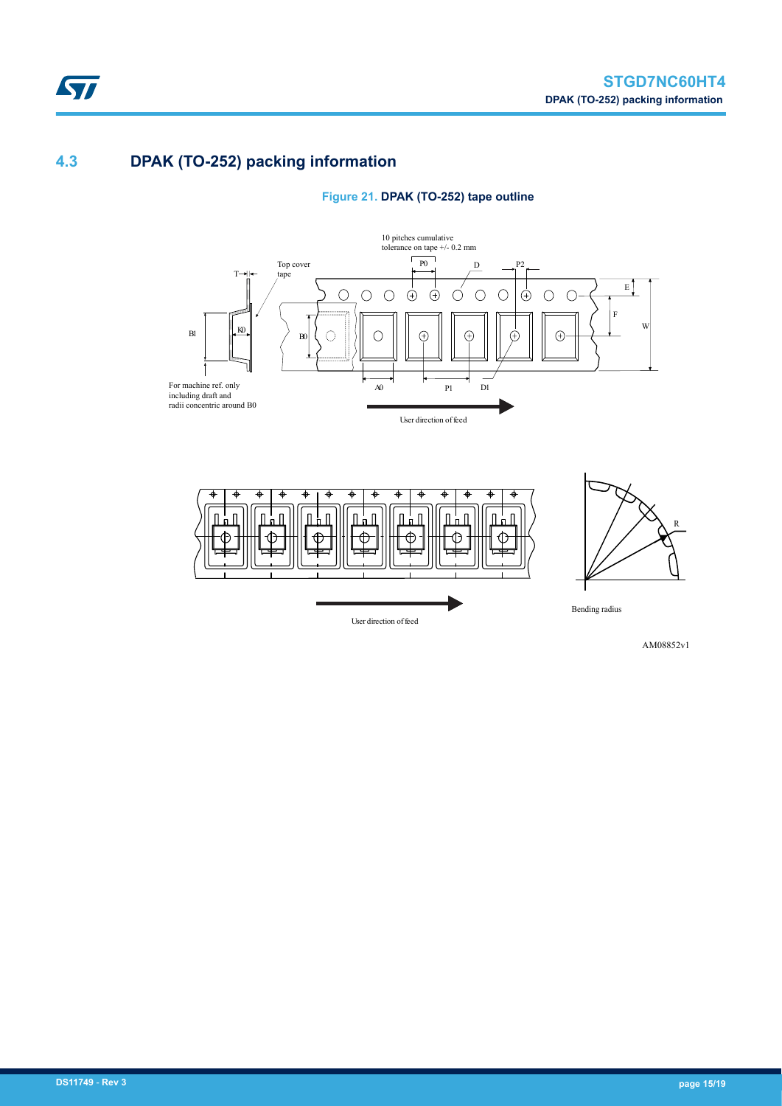### **4.3 DPAK (TO-252) packing information**

ST







AM08852v1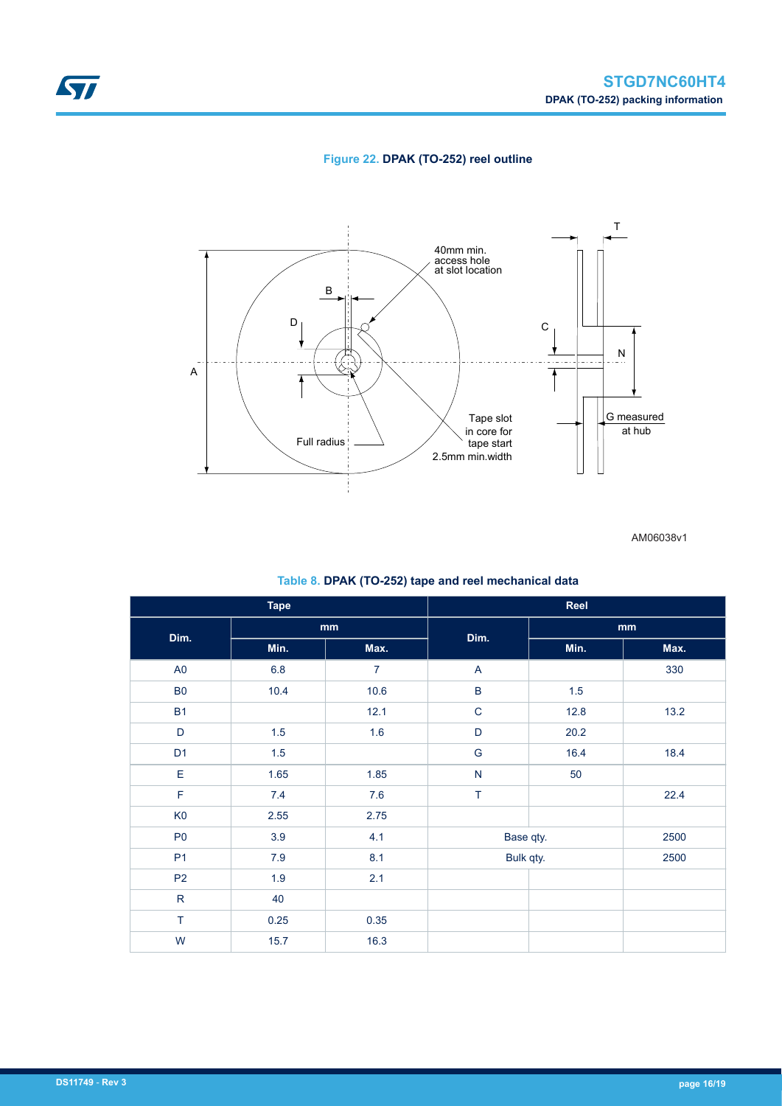

#### **Figure 22. DPAK (TO-252) reel outline**



AM06038v1

#### **Table 8. DPAK (TO-252) tape and reel mechanical data**

| <b>Tape</b>    |         |                |             | Reel      |      |
|----------------|---------|----------------|-------------|-----------|------|
| Dim.           |         | mm             | Dim.        |           | mm   |
|                | Min.    | Max.           |             | Min.      | Max. |
| A <sub>0</sub> | $6.8\,$ | $\overline{7}$ | A           |           | 330  |
| B <sub>0</sub> | 10.4    | 10.6           | $\sf B$     | 1.5       |      |
| <b>B1</b>      |         | 12.1           | $\mathbf C$ | 12.8      | 13.2 |
| D              | 1.5     | 1.6            | D           | 20.2      |      |
| D <sub>1</sub> | 1.5     |                | G           | 16.4      | 18.4 |
| $\mathsf E$    | 1.65    | 1.85           | N           | 50        |      |
| $\mathsf F$    | 7.4     | 7.6            | $\top$      |           | 22.4 |
| K <sub>0</sub> | 2.55    | 2.75           |             |           |      |
| P <sub>0</sub> | 3.9     | 4.1            |             | Base qty. | 2500 |
| P <sub>1</sub> | $7.9$   | 8.1            | Bulk qty.   |           | 2500 |
| P <sub>2</sub> | 1.9     | 2.1            |             |           |      |
| ${\sf R}$      | 40      |                |             |           |      |
| $\top$         | 0.25    | 0.35           |             |           |      |
| W              | 15.7    | 16.3           |             |           |      |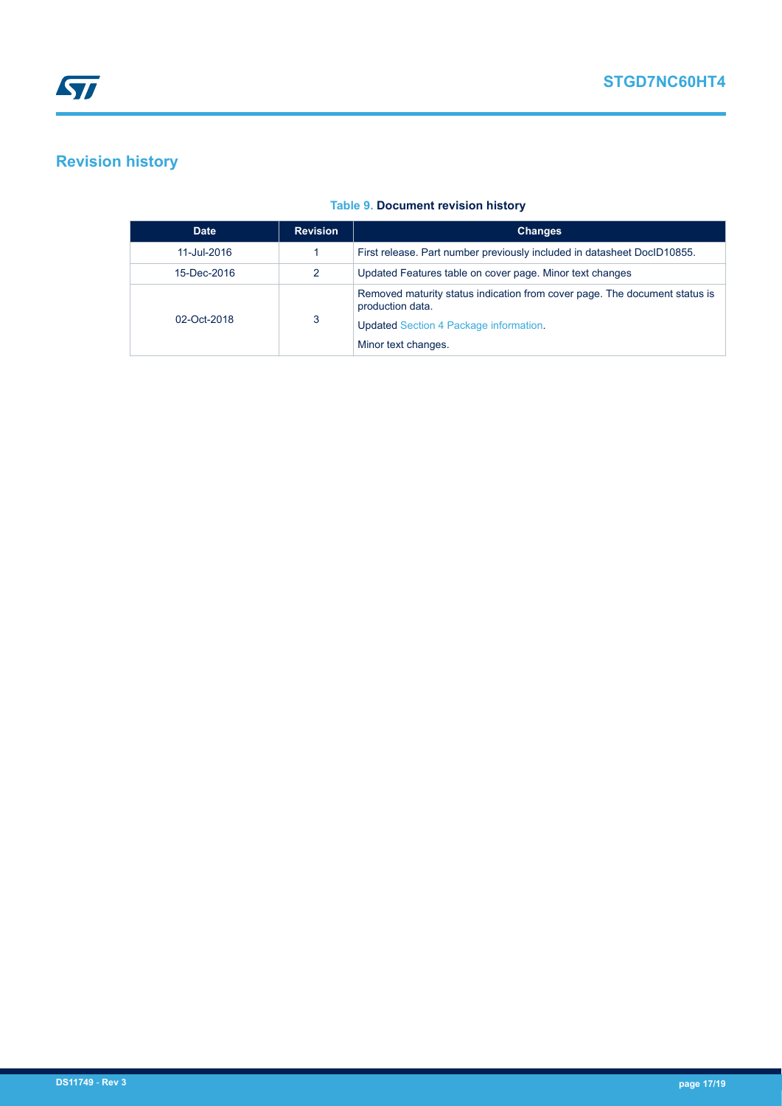### <span id="page-16-0"></span>**Revision history**

#### **Table 9. Document revision history**

| <b>Date</b> | <b>Revision</b> | <b>Changes</b>                                                                                                                                                         |
|-------------|-----------------|------------------------------------------------------------------------------------------------------------------------------------------------------------------------|
| 11-Jul-2016 |                 | First release. Part number previously included in datasheet DocID10855.                                                                                                |
| 15-Dec-2016 | 2               | Updated Features table on cover page. Minor text changes                                                                                                               |
| 02-Oct-2018 | 3               | Removed maturity status indication from cover page. The document status is<br>production data.<br><b>Updated Section 4 Package information.</b><br>Minor text changes. |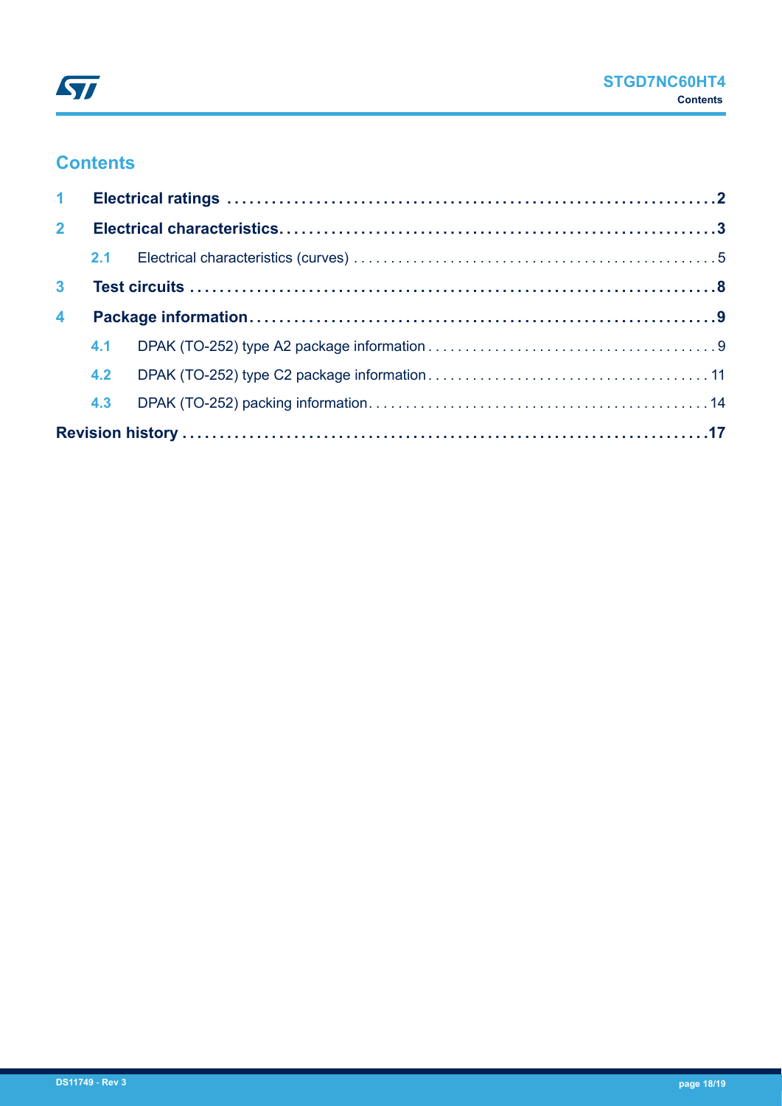### **Contents**

| $\mathbf{1}$         |     |  |  |
|----------------------|-----|--|--|
| 2 <sup>1</sup>       |     |  |  |
|                      |     |  |  |
| 3 <sup>1</sup>       |     |  |  |
| $\blacktriangleleft$ |     |  |  |
|                      |     |  |  |
|                      | 4.2 |  |  |
|                      |     |  |  |
|                      |     |  |  |